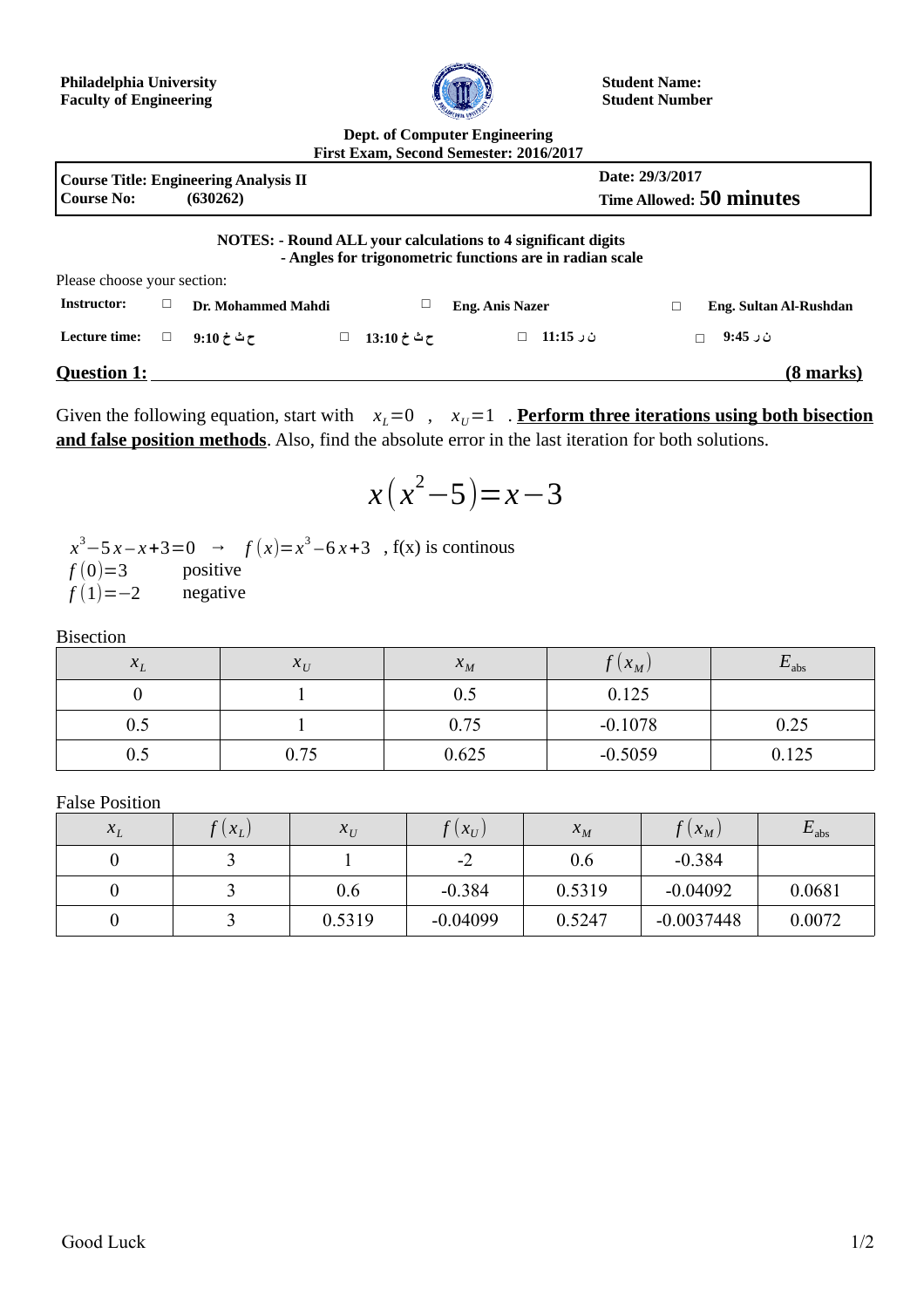

**Student Name: Student Number**

## **Dept. of Computer Engineering First Exam, Second Semester: 2016/2017**

|                                                                               |  |                    |   |             | 1 H3t DAUIII, OCCONG OCHICSICI . 2010/2017                                                                                      |                             |  |  |
|-------------------------------------------------------------------------------|--|--------------------|---|-------------|---------------------------------------------------------------------------------------------------------------------------------|-----------------------------|--|--|
| <b>Course Title: Engineering Analysis II</b><br><b>Course No:</b><br>(630262) |  |                    |   |             | Date: 29/3/2017<br><b>Time Allowed: 50 minutes</b>                                                                              |                             |  |  |
|                                                                               |  |                    |   |             | <b>NOTES: - Round ALL your calculations to 4 significant digits</b><br>- Angles for trigonometric functions are in radian scale |                             |  |  |
| Please choose your section:                                                   |  |                    |   |             |                                                                                                                                 |                             |  |  |
| <b>Instructor:</b>                                                            |  | Dr. Mohammed Mahdi |   |             | <b>Eng. Anis Nazer</b>                                                                                                          | Eng. Sultan Al-Rushdan<br>С |  |  |
| Lecture time:                                                                 |  | 9:10 خ ئ           | Ц | ح ٹ خ 13:10 | ن ر 11:15<br>$\Box$                                                                                                             | ن ر 9:45                    |  |  |
| <b>Question 1:</b>                                                            |  |                    |   |             |                                                                                                                                 | (8 marks)                   |  |  |

Given the following equation, start with  $x_L=0$ ,  $x_U=1$ . **Perform three iterations using both bisection and false position methods**. Also, find the absolute error in the last iteration for both solutions.

$$
x(x^2-5)=x-3
$$

*x*<sup>3</sup> − 5 *x* − *x* + 3 = 0 → *f* (*x*)= *x*<sup>3</sup> − 6 *x* + 3 , f(*x*) is continous  $f(0)=3$  positive  $f(1)=-2$  negative

Bisection

| $\Lambda_I$ | $X_{U}$ | $\Lambda_M$ | $(X_M)$   | $-$ abs |
|-------------|---------|-------------|-----------|---------|
|             |         |             | 0.125     |         |
| U.J         |         | 0.75        | $-0.1078$ | 0.25    |
| U.J         | 0.75    | 0.625       | $-0.5059$ | 0.125   |

False Position

| $X_{I}$ | $(x_L)$ | $X_U$  | $\left( \mathit{X}_{U}\right)$ | $X_M$  | $(X_M)$      | $E_{\rm abs}$ |
|---------|---------|--------|--------------------------------|--------|--------------|---------------|
|         |         |        | $-2$                           | 0.6    | $-0.384$     |               |
|         |         | 0.6    | $-0.384$                       | 0.5319 | $-0.04092$   | 0.0681        |
|         |         | 0.5319 | $-0.04099$                     | 0.5247 | $-0.0037448$ | 0.0072        |